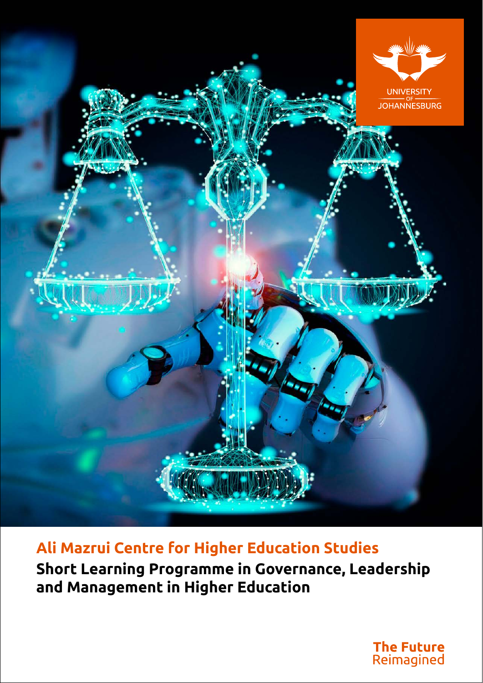

**Ali Mazrui Centre for Higher Education Studies Short Learning Programme in Governance, Leadership and Management in Higher Education**

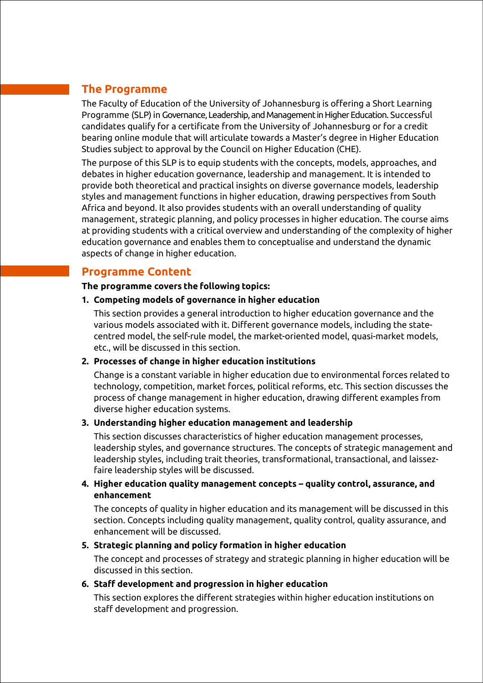## **The Programme**

The Faculty of Education of the University of Johannesburg is offering a Short Learning Programme (SLP) in Governance, Leadership, and Management in Higher Education. Successful candidates qualify for a certificate from the University of Johannesburg or for a credit bearing online module that will articulate towards a Master's degree in Higher Education Studies subject to approval by the Council on Higher Education (CHE).

The purpose of this SLP is to equip students with the concepts, models, approaches, and debates in higher education governance, leadership and management. It is intended to provide both theoretical and practical insights on diverse governance models, leadership styles and management functions in higher education, drawing perspectives from South Africa and beyond. It also provides students with an overall understanding of quality management, strategic planning, and policy processes in higher education. The course aims at providing students with a critical overview and understanding of the complexity of higher education governance and enables them to conceptualise and understand the dynamic aspects of change in higher education.

### **Programme Content**

#### **The programme covers the following topics:**

### **1. Competing models of governance in higher education**

This section provides a general introduction to higher education governance and the various models associated with it. Different governance models, including the statecentred model, the self-rule model, the market-oriented model, quasi-market models, etc., will be discussed in this section.

### **2. Processes of change in higher education institutions**

Change is a constant variable in higher education due to environmental forces related to technology, competition, market forces, political reforms, etc. This section discusses the process of change management in higher education, drawing different examples from diverse higher education systems.

### **3. Understanding higher education management and leadership**

This section discusses characteristics of higher education management processes, leadership styles, and governance structures. The concepts of strategic management and leadership styles, including trait theories, transformational, transactional, and laissezfaire leadership styles will be discussed.

**4. Higher education quality management concepts – quality control, assurance, and enhancement**

The concepts of quality in higher education and its management will be discussed in this section. Concepts including quality management, quality control, quality assurance, and enhancement will be discussed.

### **5. Strategic planning and policy formation in higher education**

The concept and processes of strategy and strategic planning in higher education will be discussed in this section.

### **6. Staff development and progression in higher education**

This section explores the different strategies within higher education institutions on staff development and progression.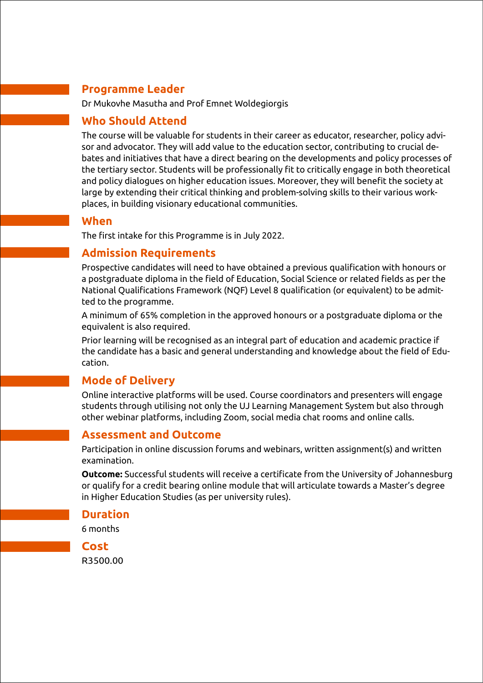# **Programme Leader**

Dr Mukovhe Masutha and Prof Emnet Woldegiorgis

### **Who Should Attend**

The course will be valuable for students in their career as educator, researcher, policy advisor and advocator. They will add value to the education sector, contributing to crucial debates and initiatives that have a direct bearing on the developments and policy processes of the tertiary sector. Students will be professionally fit to critically engage in both theoretical and policy dialogues on higher education issues. Moreover, they will benefit the society at large by extending their critical thinking and problem-solving skills to their various workplaces, in building visionary educational communities.

### **When**

The first intake for this Programme is in July 2022.

### **Admission Requirements**

Prospective candidates will need to have obtained a previous qualification with honours or a postgraduate diploma in the field of Education, Social Science or related fields as per the National Qualifications Framework (NQF) Level 8 qualification (or equivalent) to be admitted to the programme.

A minimum of 65% completion in the approved honours or a postgraduate diploma or the equivalent is also required.

Prior learning will be recognised as an integral part of education and academic practice if the candidate has a basic and general understanding and knowledge about the field of Education.

## **Mode of Delivery**

Online interactive platforms will be used. Course coordinators and presenters will engage students through utilising not only the UJ Learning Management System but also through other webinar platforms, including Zoom, social media chat rooms and online calls.

### **Assessment and Outcome**

Participation in online discussion forums and webinars, written assignment(s) and written examination.

**Outcome:** Successful students will receive a certificate from the University of Johannesburg or qualify for a credit bearing online module that will articulate towards a Master's degree in Higher Education Studies (as per university rules).

**Duration**

6 months



R3500.00